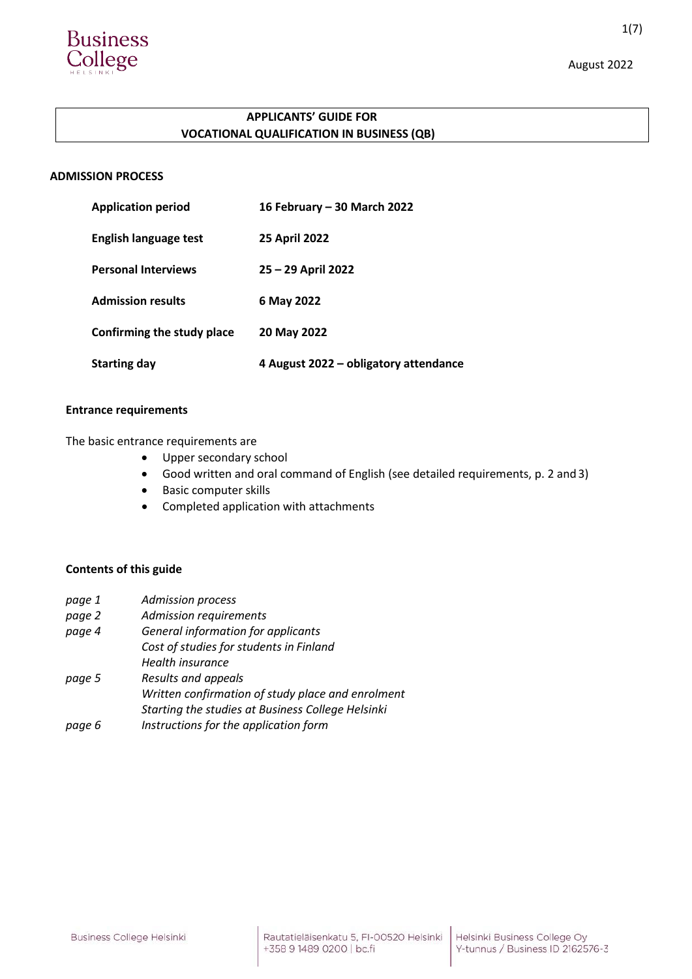

# **APPLICANTS' GUIDE FOR VOCATIONAL QUALIFICATION IN BUSINESS (QB)**

# **ADMISSION PROCESS**

| <b>Application period</b>  | 16 February – 30 March 2022           |
|----------------------------|---------------------------------------|
| English language test      | <b>25 April 2022</b>                  |
| <b>Personal Interviews</b> | $25 - 29$ April 2022                  |
| <b>Admission results</b>   | 6 May 2022                            |
| Confirming the study place | 20 May 2022                           |
| <b>Starting day</b>        | 4 August 2022 - obligatory attendance |

# **Entrance requirements**

The basic entrance requirements are

- Upper secondary school
- Good written and oral command of English (see detailed requirements, p. 2 and 3)
- **•** Basic computer skills
- Completed application with attachments

## **Contents of this guide**

| page 1 | <b>Admission process</b>                          |
|--------|---------------------------------------------------|
| page 2 | <b>Admission requirements</b>                     |
| page 4 | General information for applicants                |
|        | Cost of studies for students in Finland           |
|        | Health insurance                                  |
| page 5 | Results and appeals                               |
|        | Written confirmation of study place and enrolment |
|        | Starting the studies at Business College Helsinki |
| page 6 | Instructions for the application form             |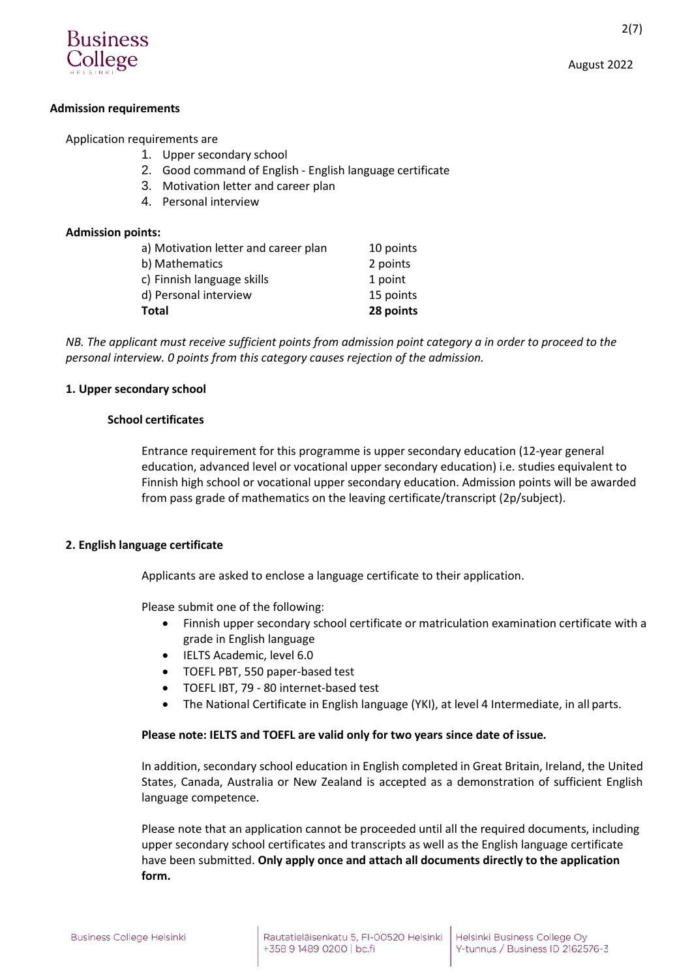

# **Admission requirements**

# Application requirements are

- 1. Upper secondary school
- 2. Good command of English English language certificate
- 3. Motivation letter and career plan
- 4. Personal interview

# **Admission points:**

| Total                                | 28 points |
|--------------------------------------|-----------|
| d) Personal interview                | 15 points |
| c) Finnish language skills           | 1 point   |
| b) Mathematics                       | 2 points  |
| a) Motivation letter and career plan | 10 points |

*NB. The applicant must receive sufficient points from admission point category a in order to proceed to the personal interview. 0 points from this category causes rejection of the admission.*

## **1. Upper secondary school**

## **School certificates**

Entrance requirement for this programme is upper secondary education (12-year general education, advanced level or vocational upper secondary education) i.e. studies equivalent to Finnish high school or vocational upper secondary education. Admission points will be awarded from pass grade of mathematics on the leaving certificate/transcript (2p/subject).

# **2. English language certificate**

Applicants are asked to enclose a language certificate to their application.

Please submit one of the following:

- Finnish upper secondary school certificate or matriculation examination certificate with a grade in English language
- IELTS Academic, level 6.0
- TOEFL PBT, 550 paper-based test
- TOEFL IBT, 79 80 internet-based test
- The National Certificate in English language (YKI), at level 4 Intermediate, in all parts.

## **Please note: IELTS and TOEFL are valid only for two years since date of issue.**

In addition, secondary school education in English completed in Great Britain, Ireland, the United States, Canada, Australia or New Zealand is accepted as a demonstration of sufficient English language competence.

Please note that an application cannot be proceeded until all the required documents, including upper secondary school certificates and transcripts as well as the English language certificate have been submitted. **Only apply once and attach all documents directly to the application form.**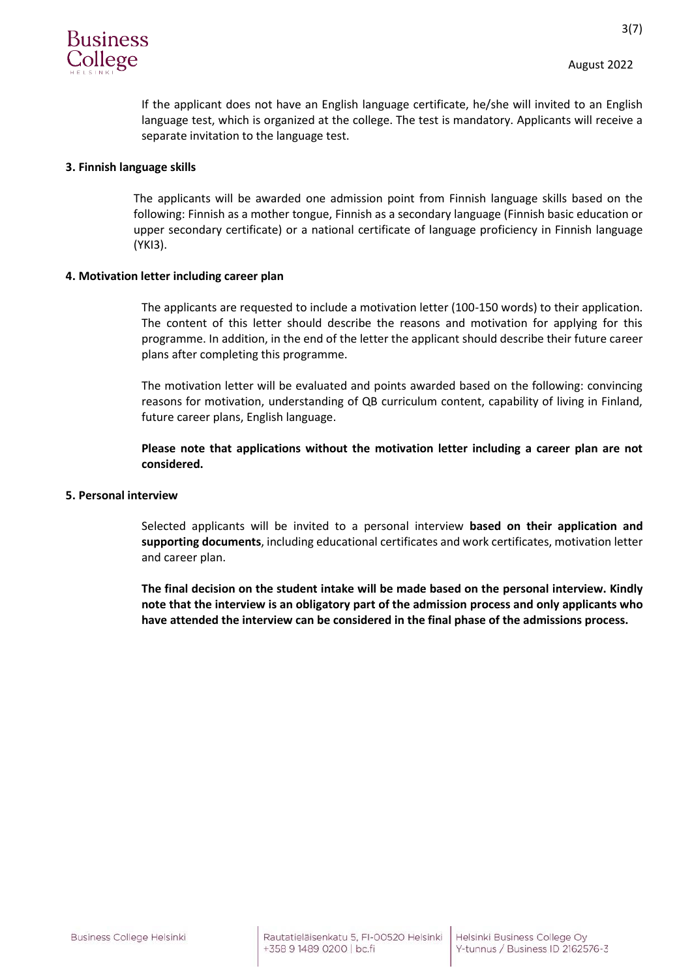

3(7)

If the applicant does not have an English language certificate, he/she will invited to an English language test, which is organized at the college. The test is mandatory. Applicants will receive a separate invitation to the language test.

### **3. Finnish language skills**

The applicants will be awarded one admission point from Finnish language skills based on the following: Finnish as a mother tongue, Finnish as a secondary language (Finnish basic education or upper secondary certificate) or a national certificate of language proficiency in Finnish language (YKI3).

### **4. Motivation letter including career plan**

The applicants are requested to include a motivation letter (100-150 words) to their application. The content of this letter should describe the reasons and motivation for applying for this programme. In addition, in the end of the letter the applicant should describe their future career plans after completing this programme.

The motivation letter will be evaluated and points awarded based on the following: convincing reasons for motivation, understanding of QB curriculum content, capability of living in Finland, future career plans, English language.

**Please note that applications without the motivation letter including a career plan are not considered.**

#### **5. Personal interview**

Selected applicants will be invited to a personal interview **based on their application and supporting documents**, including educational certificates and work certificates, motivation letter and career plan.

**The final decision on the student intake will be made based on the personal interview. Kindly note that the interview is an obligatory part of the admission process and only applicants who have attended the interview can be considered in the final phase of the admissions process.**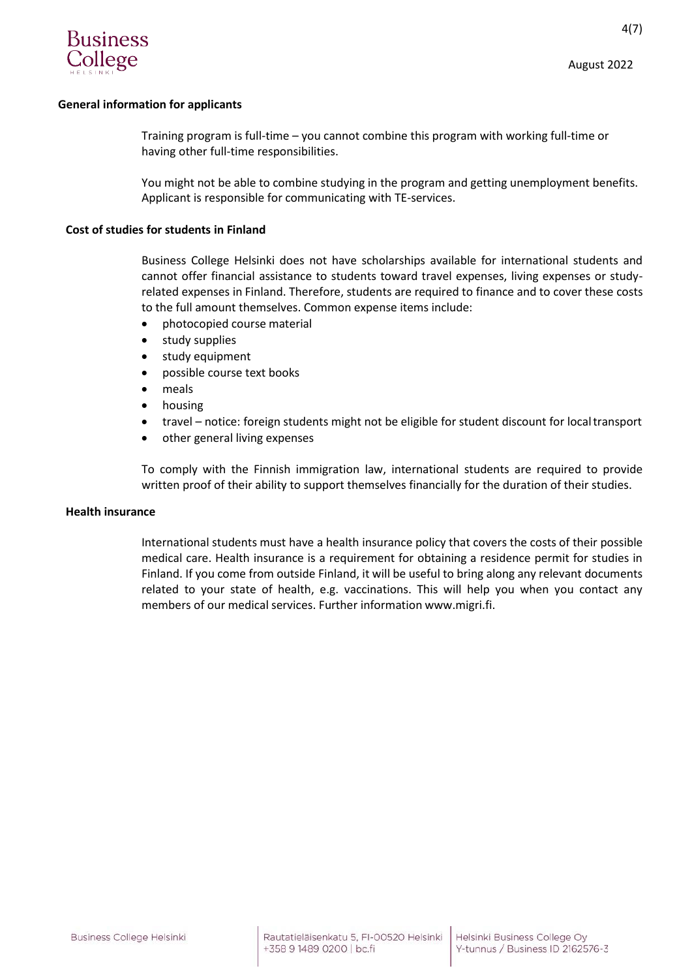

4(7)

### **General information for applicants**

Training program is full-time – you cannot combine this program with working full-time or having other full-time responsibilities.

You might not be able to combine studying in the program and getting unemployment benefits. Applicant is responsible for communicating with TE-services.

#### **Cost of studies for students in Finland**

Business College Helsinki does not have scholarships available for international students and cannot offer financial assistance to students toward travel expenses, living expenses or studyrelated expenses in Finland. Therefore, students are required to finance and to cover these costs to the full amount themselves. Common expense items include:

- photocopied course material
- study supplies
- study equipment
- possible course text books
- meals
- housing
- travel notice: foreign students might not be eligible for student discount for localtransport
- other general living expenses

To comply with the Finnish immigration law, international students are required to provide written proof of their ability to support themselves financially for the duration of their studies.

#### **Health insurance**

International students must have a health insurance policy that covers the costs of their possible medical care. Health insurance is a requirement for obtaining a residence permit for studies in Finland. If you come from outside Finland, it will be useful to bring along any relevant documents related to your state of health, e.g. vaccinations. This will help you when you contact any members of our medical services. Further information [www.migri.fi.](http://www.migri.fi/)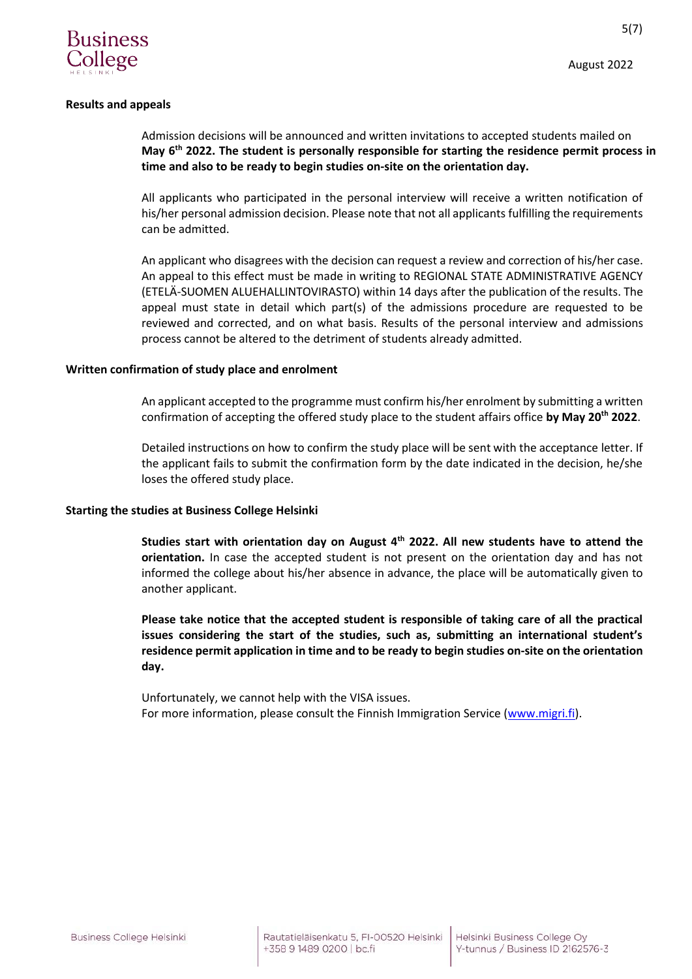

5(7)

### **Results and appeals**

Admission decisions will be announced and written invitations to accepted students mailed on **May 6th 2022. The student is personally responsible for starting the residence permit process in time and also to be ready to begin studies on-site on the orientation day.**

All applicants who participated in the personal interview will receive a written notification of his/her personal admission decision. Please note that not all applicants fulfilling the requirements can be admitted.

An applicant who disagrees with the decision can request a review and correction of his/her case. An appeal to this effect must be made in writing to REGIONAL STATE ADMINISTRATIVE AGENCY (ETELÄ-SUOMEN ALUEHALLINTOVIRASTO) within 14 days after the publication of the results. The appeal must state in detail which part(s) of the admissions procedure are requested to be reviewed and corrected, and on what basis. Results of the personal interview and admissions process cannot be altered to the detriment of students already admitted.

#### **Written confirmation of study place and enrolment**

An applicant accepted to the programme must confirm his/her enrolment by submitting a written confirmation of accepting the offered study place to the student affairs office **by May 20th 2022**.

Detailed instructions on how to confirm the study place will be sent with the acceptance letter. If the applicant fails to submit the confirmation form by the date indicated in the decision, he/she loses the offered study place.

## **Starting the studies at Business College Helsinki**

**Studies start with orientation day on August 4th 2022. All new students have to attend the orientation.** In case the accepted student is not present on the orientation day and has not informed the college about his/her absence in advance, the place will be automatically given to another applicant.

**Please take notice that the accepted student is responsible of taking care of all the practical issues considering the start of the studies, such as, submitting an international student's residence permit application in time and to be ready to begin studies on-site on the orientation day.**

Unfortunately, we cannot help with the VISA issues. For more information, please consult the Finnish Immigration Service [\(www.migri.fi\)](http://www.migri.fi/).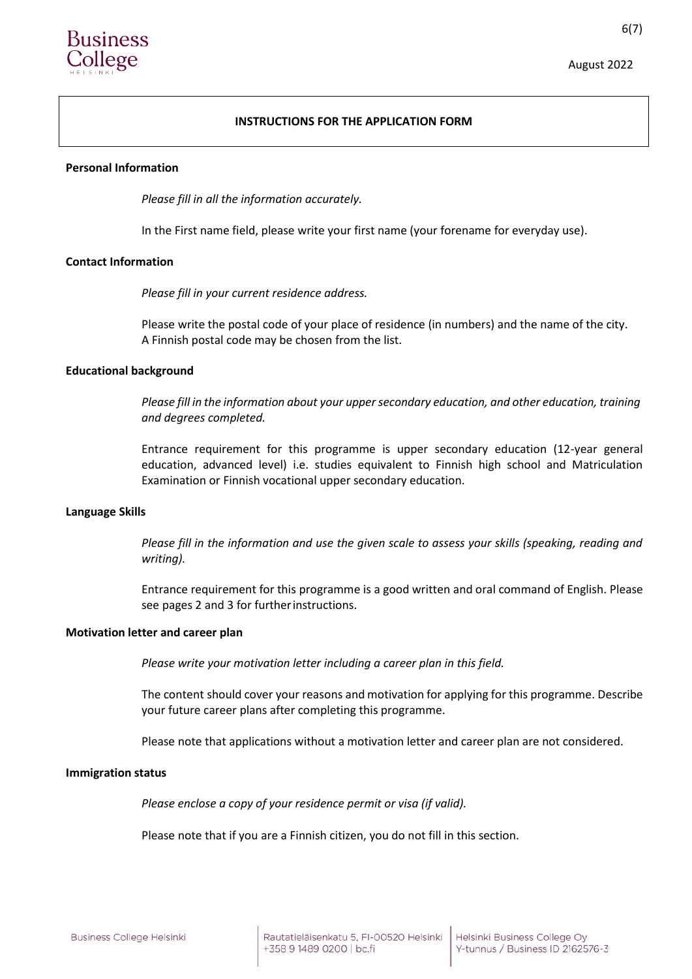

# **INSTRUCTIONS FOR THE APPLICATION FORM**

#### **Personal Information**

*Please fill in all the information accurately.*

In the First name field, please write your first name (your forename for everyday use).

### **Contact Information**

*Please fill in your current residence address.*

Please write the postal code of your place of residence (in numbers) and the name of the city. A Finnish postal code may be chosen from the list.

### **Educational background**

*Please fill in the information about your uppersecondary education, and other education, training and degrees completed.*

Entrance requirement for this programme is upper secondary education (12-year general education, advanced level) i.e. studies equivalent to Finnish high school and Matriculation Examination or Finnish vocational upper secondary education.

#### **Language Skills**

*Please fill in the information and use the given scale to assess your skills (speaking, reading and writing).*

Entrance requirement for this programme is a good written and oral command of English. Please see pages 2 and 3 for furtherinstructions.

#### **Motivation letter and career plan**

*Please write your motivation letter including a career plan in this field.*

The content should cover your reasons and motivation for applying for this programme. Describe your future career plans after completing this programme.

Please note that applications without a motivation letter and career plan are not considered.

#### **Immigration status**

*Please enclose a copy of your residence permit or visa (if valid).*

Please note that if you are a Finnish citizen, you do not fill in this section.